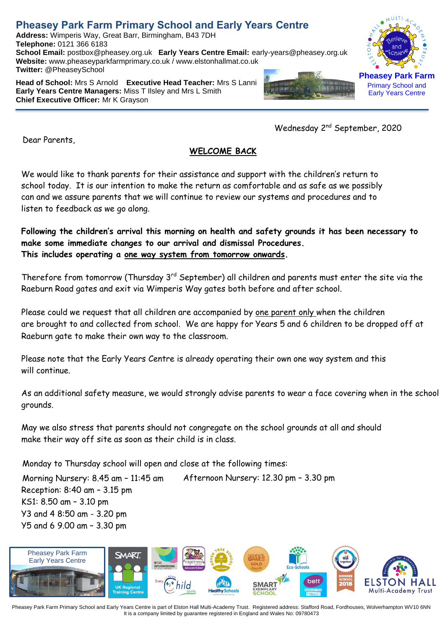## **Pheasey Park Farm Primary School and Early Years Centre**

**Address:** Wimperis Way, Great Barr, Birmingham, B43 7DH **Telephone:** 0121 366 6183 **School Email:** postbox@pheasey.org.uk **Early Years Centre Email:** [early-years@pheasey.](mailto:early-years@pheasey)org.uk **Website:** [www.pheaseyparkfarmprimary.co.uk](http://www.pheaseyparkfarmprimary.co.uk/) / www.elstonhallmat.co.uk **Twitter:** @PheaseySchool

**Head of School:** Mrs S Arnold **Executive Head Teacher:** Mrs S Lanni **Early Years Centre Managers:** Miss T Ilsley and Mrs L Smith **Chief Executive Officer:** Mr K Grayson

Dear Parents,

**Pheasey Park Farm** Primary School and Early Years Centre

Wednesday 2nd September, 2020

### **WELCOME BACK**

We would like to thank parents for their assistance and support with the children's return to school today. It is our intention to make the return as comfortable and as safe as we possibly can and we assure parents that we will continue to review our systems and procedures and to listen to feedback as we go along.

**Following the children's arrival this morning on health and safety grounds it has been necessary to make some immediate changes to our arrival and dismissal Procedures. This includes operating a one way system from tomorrow onwards.**

Therefore from tomorrow (Thursday 3<sup>rd</sup> September) all children and parents must enter the site via the Raeburn Road gates and exit via Wimperis Way gates both before and after school.

Please could we request that all children are accompanied by one parent only when the children are brought to and collected from school. We are happy for Years 5 and 6 children to be dropped off at Raeburn gate to make their own way to the classroom.

Please note that the Early Years Centre is already operating their own one way system and this will continue.

As an additional safety measure, we would strongly advise parents to wear a face covering when in the school grounds.

May we also stress that parents should not congregate on the school grounds at all and should make their way off site as soon as their child is in class.

Monday to Thursday school will open and close at the following times:

Morning Nursery: 8.45 am – 11:45 am Afternoon Nursery: 12.30 pm – 3.30 pm Reception: 8:40 am – 3.15 pm KS1: 8.50 am – 3.10 pm Y3 and 4 8:50 am - 3.20 pm Y5 and 6 9.00 am – 3.30 pm



Pheasey Park Farm Primary School and Early Years Centre is part of Elston Hall Multi-Academy Trust. Registered address: Stafford Road, Fordhouses, Wolverhampton WV10 6NN It is a company limited by guarantee registered in England and Wales No: 09780473